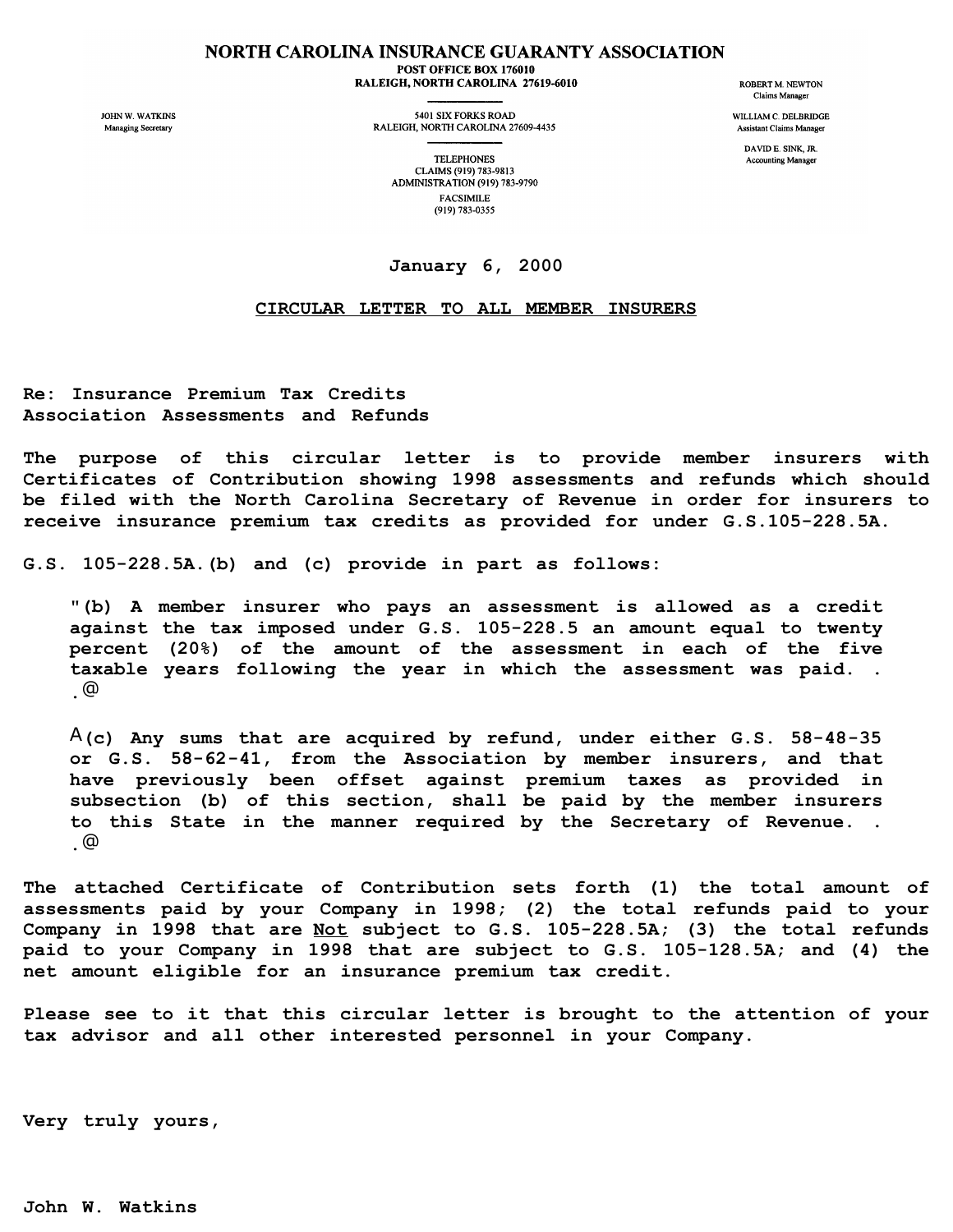## NORTH CAROLINA INSURANCE GUARANTY ASSOCIATION POST OFFICE BOX 176010

RALEIGH, NORTH CAROLINA 27619-6010

JOHN W. WATKINS Managing Secretary

5401 SIX FORKS ROAD RALEIGH, NORTH CAROLINA 27609-4435 **ROBERT M. NEWTON** Claims Manager

WILLIAM C. DELBRIDGE Assistant Claims Manager

> DAVID E. SINK, JR. **Accounting Manager**

**TELEPHONES** CLAIMS (919) 783-9813 ADMINISTRATION (919) 783-9790 **FACSIMILE** (919) 783-0355

## **January 6, 2000**

## **CIRCULAR LETTER TO ALL MEMBER INSURERS**

**Re: Insurance Premium Tax Credits Association Assessments and Refunds**

**The purpose of this circular letter is to provide member insurers with Certificates of Contribution showing 1998 assessments and refunds which should be filed with the North Carolina Secretary of Revenue in order for insurers to receive insurance premium tax credits as provided for under G.S.105-228.5A.**

**G.S. 105-228.5A.(b) and (c) provide in part as follows:**

**"(b) A member insurer who pays an assessment is allowed as a credit against the tax imposed under G.S. 105-228.5 an amount equal to twenty percent (20%) of the amount of the assessment in each of the five taxable years following the year in which the assessment was paid. . .**@

A**(c) Any sums that are acquired by refund, under either G.S. 58-48-35 or G.S. 58-62-41, from the Association by member insurers, and that have previously been offset against premium taxes as provided in subsection (b) of this section, shall be paid by the member insurers to this State in the manner required by the Secretary of Revenue. . .**@

**The attached Certificate of Contribution sets forth (1) the total amount of assessments paid by your Company in 1998; (2) the total refunds paid to your Company in 1998 that are Not subject to G.S. 105-228.5A; (3) the total refunds paid to your Company in 1998 that are subject to G.S. 105-128.5A; and (4) the net amount eligible for an insurance premium tax credit.**

**Please see to it that this circular letter is brought to the attention of your tax advisor and all other interested personnel in your Company.**

**Very truly yours,**

**John W. Watkins**